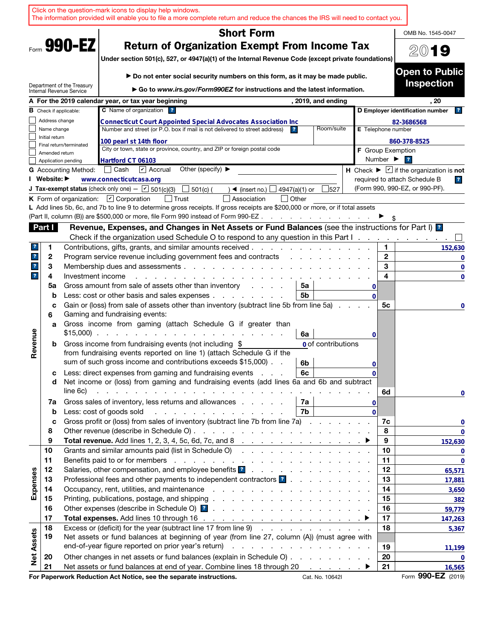| <b>Short Form</b><br>OMB No. 1545-0047<br>Form 990-EZ<br><b>Return of Organization Exempt From Income Tax</b><br>2019<br>Under section 501(c), 527, or 4947(a)(1) of the Internal Revenue Code (except private foundations)<br><b>Open to Public</b><br>▶ Do not enter social security numbers on this form, as it may be made public.<br><b>Inspection</b><br>Department of the Treasury<br>► Go to www.irs.gov/Form990EZ for instructions and the latest information.<br>Internal Revenue Service<br>A For the 2019 calendar year, or tax year beginning<br>, 2019, and ending<br>. 20<br>C Name of organization ?<br>D Employer identification number<br><b>B</b> Check if applicable:<br> ? <br>Address change<br>82-3686568<br><b>Connecticut Court Appointed Special Advocates Association Inc</b><br>Number and street (or P.O. box if mail is not delivered to street address)<br>Room/suite<br>Name change<br>E Telephone number<br>Initial return<br>100 pearl st 14th floor<br>860-378-8525<br>Final return/terminated<br>City or town, state or province, country, and ZIP or foreign postal code<br><b>F</b> Group Exemption<br>Amended return<br>Number $\blacktriangleright$<br>$\overline{\mathbf{r}}$<br>Hartford CT 06103<br>Application pending<br>Other (specify) $\blacktriangleright$<br>│ Cash<br>$\triangleright$ Accrual<br>H Check $\blacktriangleright \boxed{\mathbf{v}}$ if the organization is not<br><b>G</b> Accounting Method:<br>I Website: ▶<br>www.connecticutcasa.org<br>required to attach Schedule B<br>$\overline{\mathbf{r}}$<br>(Form 990, 990-EZ, or 990-PF).<br><b>J Tax-exempt status</b> (check only one) - $\boxed{\mathbf{v}}$ 501(c)(3)<br>501(c) (<br>4947(a)(1) or<br>527<br>$\triangleleft$ (insert no.)<br>K Form of organization: $\Box$ Corporation<br>l Trust<br>Association<br>  Other<br>L Add lines 5b, 6c, and 7b to line 9 to determine gross receipts. If gross receipts are \$200,000 or more, or if total assets<br>(Part II, column (B)) are \$500,000 or more, file Form 990 instead of Form 990-EZ.<br>and a series of the contract of the<br>Revenue, Expenses, and Changes in Net Assets or Fund Balances (see the instructions for Part I) [2]<br>Part I<br>Check if the organization used Schedule O to respond to any question in this Part I.<br>Contributions, gifts, grants, and similar amounts received.<br>1<br>1<br>152,630<br>$\mathbf{2}$<br>$\mathbf{r}$<br>2<br>Program service revenue including government fees and contracts<br>0<br>3<br>3<br>$\mathbf{?}$<br>Membership dues and assessments.<br>the contract of the contract of the contract of the contract of the contract of the contract of the contract of<br>0<br>4<br>$\mathbf{r}$<br>4<br>Investment income<br>$\mathbf 0$<br>Gross amount from sale of assets other than inventory<br>5a<br>5a<br>and a state of<br>0<br>Less: cost or other basis and sales expenses<br>5b<br>b<br>$\Omega$<br>Gain or (loss) from sale of assets other than inventory (subtract line 5b from line 5a)<br>5c<br>c<br>0<br>Gaming and fundraising events:<br>6<br>Gross income from gaming (attach Schedule G if greater than<br>a<br>Revenue<br>$$15,000$<br>6a<br>0<br>Gross income from fundraising events (not including \$<br><b>0</b> of contributions<br>b<br>from fundraising events reported on line 1) (attach Schedule G if the<br>sum of such gross income and contributions exceeds \$15,000).<br>6b<br>0<br>Less: direct expenses from gaming and fundraising events<br>6c<br>с<br>0<br>Net income or (loss) from gaming and fundraising events (add lines 6a and 6b and subtract<br>d<br>line 6c)<br>the contract of the contract of the contract of the contract of the contract of<br>6d<br>$\mathbf 0$<br>Gross sales of inventory, less returns and allowances<br>7а<br>7a<br>0<br>Less: cost of goods sold<br>7b<br>and the control of the control of the control of the control of the control of the control of the control of the control of the control of the control of the control of the control of the control of the control of the cont<br>$\Omega$<br>b<br>Gross profit or (loss) from sales of inventory (subtract line 7b from line 7a)<br>7c<br>c<br>$\mathbf 0$<br>8<br>8<br>Total revenue. Add lines 1, 2, 3, 4, 5c, 6d, 7c, and 8 $\ldots$ $\ldots$ $\ldots$ $\ldots$ $\ldots$ $\ldots$<br>9<br>9<br>Grants and similar amounts paid (list in Schedule O)<br>10<br>10<br>$\mathbf 0$<br>11<br>11<br>$\bf{0}$<br>Salaries, other compensation, and employee benefits <b>1</b><br>12<br>12<br>Expenses<br>65,571<br>Professional fees and other payments to independent contractors ?<br>13<br>13<br>17,881<br>14<br>14<br>3,650<br>15<br>15<br>382<br>16<br>16<br>59,779<br>17<br>17<br>147,263<br>Excess or (deficit) for the year (subtract line 17 from line 9)<br>18<br>18<br>5,367<br><b>Net Assets</b><br>Net assets or fund balances at beginning of year (from line 27, column (A)) (must agree with<br>19<br>19<br>11,199<br>Other changes in net assets or fund balances (explain in Schedule O)<br>20<br>20<br>0<br>Net assets or fund balances at end of year. Combine lines 18 through 20 ▶<br>21<br>21<br>16,565<br>For Paperwork Reduction Act Notice, see the separate instructions.<br>Cat. No. 10642I |  | Click on the question-mark icons to display help windows.<br>The information provided will enable you to file a more complete return and reduce the chances the IRS will need to contact you. |  |  |             |
|------------------------------------------------------------------------------------------------------------------------------------------------------------------------------------------------------------------------------------------------------------------------------------------------------------------------------------------------------------------------------------------------------------------------------------------------------------------------------------------------------------------------------------------------------------------------------------------------------------------------------------------------------------------------------------------------------------------------------------------------------------------------------------------------------------------------------------------------------------------------------------------------------------------------------------------------------------------------------------------------------------------------------------------------------------------------------------------------------------------------------------------------------------------------------------------------------------------------------------------------------------------------------------------------------------------------------------------------------------------------------------------------------------------------------------------------------------------------------------------------------------------------------------------------------------------------------------------------------------------------------------------------------------------------------------------------------------------------------------------------------------------------------------------------------------------------------------------------------------------------------------------------------------------------------------------------------------------------------------------------------------------------------------------------------------------------------------------------------------------------------------------------------------------------------------------------------------------------------------------------------------------------------------------------------------------------------------------------------------------------------------------------------------------------------------------------------------------------------------------------------------------------------------------------------------------------------------------------------------------------------------------------------------------------------------------------------------------------------------------------------------------------------------------------------------------------------------------------------------------------------------------------------------------------------------------------------------------------------------------------------------------------------------------------------------------------------------------------------------------------------------------------------------------------------------------------------------------------------------------------------------------------------------------------------------------------------------------------------------------------------------------------------------------------------------------------------------------------------------------------------------------------------------------------------------------------------------------------------------------------------------------------------------------------------------------------------------------------------------------------------------------------------------------------------------------------------------------------------------------------------------------------------------------------------------------------------------------------------------------------------------------------------------------------------------------------------------------------------------------------------------------------------------------------------------------------------------------------------------------------------------------------------------------------------------------------------------------------------------------------------------------------------------------------------------------------------------------------------------------------------------------------------------------------------------------------------------------------------------------------------------------------------------------------------------------------------------------------------------------------------------------------------------------------------------------------------------------------------------------------------------------------------------------------------------------------------------------------------------------------------------------------------------------------------------------------------------------------------------------------------------------------------------------------------------------------------------------------------------------------------------------------------------------------|--|-----------------------------------------------------------------------------------------------------------------------------------------------------------------------------------------------|--|--|-------------|
|                                                                                                                                                                                                                                                                                                                                                                                                                                                                                                                                                                                                                                                                                                                                                                                                                                                                                                                                                                                                                                                                                                                                                                                                                                                                                                                                                                                                                                                                                                                                                                                                                                                                                                                                                                                                                                                                                                                                                                                                                                                                                                                                                                                                                                                                                                                                                                                                                                                                                                                                                                                                                                                                                                                                                                                                                                                                                                                                                                                                                                                                                                                                                                                                                                                                                                                                                                                                                                                                                                                                                                                                                                                                                                                                                                                                                                                                                                                                                                                                                                                                                                                                                                                                                                                                                                                                                                                                                                                                                                                                                                                                                                                                                                                                                                                                                                                                                                                                                                                                                                                                                                                                                                                                                                                                                                |  |                                                                                                                                                                                               |  |  |             |
|                                                                                                                                                                                                                                                                                                                                                                                                                                                                                                                                                                                                                                                                                                                                                                                                                                                                                                                                                                                                                                                                                                                                                                                                                                                                                                                                                                                                                                                                                                                                                                                                                                                                                                                                                                                                                                                                                                                                                                                                                                                                                                                                                                                                                                                                                                                                                                                                                                                                                                                                                                                                                                                                                                                                                                                                                                                                                                                                                                                                                                                                                                                                                                                                                                                                                                                                                                                                                                                                                                                                                                                                                                                                                                                                                                                                                                                                                                                                                                                                                                                                                                                                                                                                                                                                                                                                                                                                                                                                                                                                                                                                                                                                                                                                                                                                                                                                                                                                                                                                                                                                                                                                                                                                                                                                                                |  |                                                                                                                                                                                               |  |  |             |
| Form 990-EZ (2019)                                                                                                                                                                                                                                                                                                                                                                                                                                                                                                                                                                                                                                                                                                                                                                                                                                                                                                                                                                                                                                                                                                                                                                                                                                                                                                                                                                                                                                                                                                                                                                                                                                                                                                                                                                                                                                                                                                                                                                                                                                                                                                                                                                                                                                                                                                                                                                                                                                                                                                                                                                                                                                                                                                                                                                                                                                                                                                                                                                                                                                                                                                                                                                                                                                                                                                                                                                                                                                                                                                                                                                                                                                                                                                                                                                                                                                                                                                                                                                                                                                                                                                                                                                                                                                                                                                                                                                                                                                                                                                                                                                                                                                                                                                                                                                                                                                                                                                                                                                                                                                                                                                                                                                                                                                                                             |  |                                                                                                                                                                                               |  |  |             |
|                                                                                                                                                                                                                                                                                                                                                                                                                                                                                                                                                                                                                                                                                                                                                                                                                                                                                                                                                                                                                                                                                                                                                                                                                                                                                                                                                                                                                                                                                                                                                                                                                                                                                                                                                                                                                                                                                                                                                                                                                                                                                                                                                                                                                                                                                                                                                                                                                                                                                                                                                                                                                                                                                                                                                                                                                                                                                                                                                                                                                                                                                                                                                                                                                                                                                                                                                                                                                                                                                                                                                                                                                                                                                                                                                                                                                                                                                                                                                                                                                                                                                                                                                                                                                                                                                                                                                                                                                                                                                                                                                                                                                                                                                                                                                                                                                                                                                                                                                                                                                                                                                                                                                                                                                                                                                                |  |                                                                                                                                                                                               |  |  |             |
|                                                                                                                                                                                                                                                                                                                                                                                                                                                                                                                                                                                                                                                                                                                                                                                                                                                                                                                                                                                                                                                                                                                                                                                                                                                                                                                                                                                                                                                                                                                                                                                                                                                                                                                                                                                                                                                                                                                                                                                                                                                                                                                                                                                                                                                                                                                                                                                                                                                                                                                                                                                                                                                                                                                                                                                                                                                                                                                                                                                                                                                                                                                                                                                                                                                                                                                                                                                                                                                                                                                                                                                                                                                                                                                                                                                                                                                                                                                                                                                                                                                                                                                                                                                                                                                                                                                                                                                                                                                                                                                                                                                                                                                                                                                                                                                                                                                                                                                                                                                                                                                                                                                                                                                                                                                                                                |  |                                                                                                                                                                                               |  |  |             |
|                                                                                                                                                                                                                                                                                                                                                                                                                                                                                                                                                                                                                                                                                                                                                                                                                                                                                                                                                                                                                                                                                                                                                                                                                                                                                                                                                                                                                                                                                                                                                                                                                                                                                                                                                                                                                                                                                                                                                                                                                                                                                                                                                                                                                                                                                                                                                                                                                                                                                                                                                                                                                                                                                                                                                                                                                                                                                                                                                                                                                                                                                                                                                                                                                                                                                                                                                                                                                                                                                                                                                                                                                                                                                                                                                                                                                                                                                                                                                                                                                                                                                                                                                                                                                                                                                                                                                                                                                                                                                                                                                                                                                                                                                                                                                                                                                                                                                                                                                                                                                                                                                                                                                                                                                                                                                                |  |                                                                                                                                                                                               |  |  |             |
|                                                                                                                                                                                                                                                                                                                                                                                                                                                                                                                                                                                                                                                                                                                                                                                                                                                                                                                                                                                                                                                                                                                                                                                                                                                                                                                                                                                                                                                                                                                                                                                                                                                                                                                                                                                                                                                                                                                                                                                                                                                                                                                                                                                                                                                                                                                                                                                                                                                                                                                                                                                                                                                                                                                                                                                                                                                                                                                                                                                                                                                                                                                                                                                                                                                                                                                                                                                                                                                                                                                                                                                                                                                                                                                                                                                                                                                                                                                                                                                                                                                                                                                                                                                                                                                                                                                                                                                                                                                                                                                                                                                                                                                                                                                                                                                                                                                                                                                                                                                                                                                                                                                                                                                                                                                                                                |  |                                                                                                                                                                                               |  |  |             |
|                                                                                                                                                                                                                                                                                                                                                                                                                                                                                                                                                                                                                                                                                                                                                                                                                                                                                                                                                                                                                                                                                                                                                                                                                                                                                                                                                                                                                                                                                                                                                                                                                                                                                                                                                                                                                                                                                                                                                                                                                                                                                                                                                                                                                                                                                                                                                                                                                                                                                                                                                                                                                                                                                                                                                                                                                                                                                                                                                                                                                                                                                                                                                                                                                                                                                                                                                                                                                                                                                                                                                                                                                                                                                                                                                                                                                                                                                                                                                                                                                                                                                                                                                                                                                                                                                                                                                                                                                                                                                                                                                                                                                                                                                                                                                                                                                                                                                                                                                                                                                                                                                                                                                                                                                                                                                                |  |                                                                                                                                                                                               |  |  |             |
|                                                                                                                                                                                                                                                                                                                                                                                                                                                                                                                                                                                                                                                                                                                                                                                                                                                                                                                                                                                                                                                                                                                                                                                                                                                                                                                                                                                                                                                                                                                                                                                                                                                                                                                                                                                                                                                                                                                                                                                                                                                                                                                                                                                                                                                                                                                                                                                                                                                                                                                                                                                                                                                                                                                                                                                                                                                                                                                                                                                                                                                                                                                                                                                                                                                                                                                                                                                                                                                                                                                                                                                                                                                                                                                                                                                                                                                                                                                                                                                                                                                                                                                                                                                                                                                                                                                                                                                                                                                                                                                                                                                                                                                                                                                                                                                                                                                                                                                                                                                                                                                                                                                                                                                                                                                                                                |  |                                                                                                                                                                                               |  |  |             |
|                                                                                                                                                                                                                                                                                                                                                                                                                                                                                                                                                                                                                                                                                                                                                                                                                                                                                                                                                                                                                                                                                                                                                                                                                                                                                                                                                                                                                                                                                                                                                                                                                                                                                                                                                                                                                                                                                                                                                                                                                                                                                                                                                                                                                                                                                                                                                                                                                                                                                                                                                                                                                                                                                                                                                                                                                                                                                                                                                                                                                                                                                                                                                                                                                                                                                                                                                                                                                                                                                                                                                                                                                                                                                                                                                                                                                                                                                                                                                                                                                                                                                                                                                                                                                                                                                                                                                                                                                                                                                                                                                                                                                                                                                                                                                                                                                                                                                                                                                                                                                                                                                                                                                                                                                                                                                                |  |                                                                                                                                                                                               |  |  |             |
|                                                                                                                                                                                                                                                                                                                                                                                                                                                                                                                                                                                                                                                                                                                                                                                                                                                                                                                                                                                                                                                                                                                                                                                                                                                                                                                                                                                                                                                                                                                                                                                                                                                                                                                                                                                                                                                                                                                                                                                                                                                                                                                                                                                                                                                                                                                                                                                                                                                                                                                                                                                                                                                                                                                                                                                                                                                                                                                                                                                                                                                                                                                                                                                                                                                                                                                                                                                                                                                                                                                                                                                                                                                                                                                                                                                                                                                                                                                                                                                                                                                                                                                                                                                                                                                                                                                                                                                                                                                                                                                                                                                                                                                                                                                                                                                                                                                                                                                                                                                                                                                                                                                                                                                                                                                                                                |  |                                                                                                                                                                                               |  |  |             |
|                                                                                                                                                                                                                                                                                                                                                                                                                                                                                                                                                                                                                                                                                                                                                                                                                                                                                                                                                                                                                                                                                                                                                                                                                                                                                                                                                                                                                                                                                                                                                                                                                                                                                                                                                                                                                                                                                                                                                                                                                                                                                                                                                                                                                                                                                                                                                                                                                                                                                                                                                                                                                                                                                                                                                                                                                                                                                                                                                                                                                                                                                                                                                                                                                                                                                                                                                                                                                                                                                                                                                                                                                                                                                                                                                                                                                                                                                                                                                                                                                                                                                                                                                                                                                                                                                                                                                                                                                                                                                                                                                                                                                                                                                                                                                                                                                                                                                                                                                                                                                                                                                                                                                                                                                                                                                                |  |                                                                                                                                                                                               |  |  |             |
|                                                                                                                                                                                                                                                                                                                                                                                                                                                                                                                                                                                                                                                                                                                                                                                                                                                                                                                                                                                                                                                                                                                                                                                                                                                                                                                                                                                                                                                                                                                                                                                                                                                                                                                                                                                                                                                                                                                                                                                                                                                                                                                                                                                                                                                                                                                                                                                                                                                                                                                                                                                                                                                                                                                                                                                                                                                                                                                                                                                                                                                                                                                                                                                                                                                                                                                                                                                                                                                                                                                                                                                                                                                                                                                                                                                                                                                                                                                                                                                                                                                                                                                                                                                                                                                                                                                                                                                                                                                                                                                                                                                                                                                                                                                                                                                                                                                                                                                                                                                                                                                                                                                                                                                                                                                                                                |  |                                                                                                                                                                                               |  |  |             |
|                                                                                                                                                                                                                                                                                                                                                                                                                                                                                                                                                                                                                                                                                                                                                                                                                                                                                                                                                                                                                                                                                                                                                                                                                                                                                                                                                                                                                                                                                                                                                                                                                                                                                                                                                                                                                                                                                                                                                                                                                                                                                                                                                                                                                                                                                                                                                                                                                                                                                                                                                                                                                                                                                                                                                                                                                                                                                                                                                                                                                                                                                                                                                                                                                                                                                                                                                                                                                                                                                                                                                                                                                                                                                                                                                                                                                                                                                                                                                                                                                                                                                                                                                                                                                                                                                                                                                                                                                                                                                                                                                                                                                                                                                                                                                                                                                                                                                                                                                                                                                                                                                                                                                                                                                                                                                                |  |                                                                                                                                                                                               |  |  |             |
|                                                                                                                                                                                                                                                                                                                                                                                                                                                                                                                                                                                                                                                                                                                                                                                                                                                                                                                                                                                                                                                                                                                                                                                                                                                                                                                                                                                                                                                                                                                                                                                                                                                                                                                                                                                                                                                                                                                                                                                                                                                                                                                                                                                                                                                                                                                                                                                                                                                                                                                                                                                                                                                                                                                                                                                                                                                                                                                                                                                                                                                                                                                                                                                                                                                                                                                                                                                                                                                                                                                                                                                                                                                                                                                                                                                                                                                                                                                                                                                                                                                                                                                                                                                                                                                                                                                                                                                                                                                                                                                                                                                                                                                                                                                                                                                                                                                                                                                                                                                                                                                                                                                                                                                                                                                                                                |  |                                                                                                                                                                                               |  |  |             |
|                                                                                                                                                                                                                                                                                                                                                                                                                                                                                                                                                                                                                                                                                                                                                                                                                                                                                                                                                                                                                                                                                                                                                                                                                                                                                                                                                                                                                                                                                                                                                                                                                                                                                                                                                                                                                                                                                                                                                                                                                                                                                                                                                                                                                                                                                                                                                                                                                                                                                                                                                                                                                                                                                                                                                                                                                                                                                                                                                                                                                                                                                                                                                                                                                                                                                                                                                                                                                                                                                                                                                                                                                                                                                                                                                                                                                                                                                                                                                                                                                                                                                                                                                                                                                                                                                                                                                                                                                                                                                                                                                                                                                                                                                                                                                                                                                                                                                                                                                                                                                                                                                                                                                                                                                                                                                                |  |                                                                                                                                                                                               |  |  |             |
|                                                                                                                                                                                                                                                                                                                                                                                                                                                                                                                                                                                                                                                                                                                                                                                                                                                                                                                                                                                                                                                                                                                                                                                                                                                                                                                                                                                                                                                                                                                                                                                                                                                                                                                                                                                                                                                                                                                                                                                                                                                                                                                                                                                                                                                                                                                                                                                                                                                                                                                                                                                                                                                                                                                                                                                                                                                                                                                                                                                                                                                                                                                                                                                                                                                                                                                                                                                                                                                                                                                                                                                                                                                                                                                                                                                                                                                                                                                                                                                                                                                                                                                                                                                                                                                                                                                                                                                                                                                                                                                                                                                                                                                                                                                                                                                                                                                                                                                                                                                                                                                                                                                                                                                                                                                                                                |  |                                                                                                                                                                                               |  |  |             |
|                                                                                                                                                                                                                                                                                                                                                                                                                                                                                                                                                                                                                                                                                                                                                                                                                                                                                                                                                                                                                                                                                                                                                                                                                                                                                                                                                                                                                                                                                                                                                                                                                                                                                                                                                                                                                                                                                                                                                                                                                                                                                                                                                                                                                                                                                                                                                                                                                                                                                                                                                                                                                                                                                                                                                                                                                                                                                                                                                                                                                                                                                                                                                                                                                                                                                                                                                                                                                                                                                                                                                                                                                                                                                                                                                                                                                                                                                                                                                                                                                                                                                                                                                                                                                                                                                                                                                                                                                                                                                                                                                                                                                                                                                                                                                                                                                                                                                                                                                                                                                                                                                                                                                                                                                                                                                                |  |                                                                                                                                                                                               |  |  |             |
|                                                                                                                                                                                                                                                                                                                                                                                                                                                                                                                                                                                                                                                                                                                                                                                                                                                                                                                                                                                                                                                                                                                                                                                                                                                                                                                                                                                                                                                                                                                                                                                                                                                                                                                                                                                                                                                                                                                                                                                                                                                                                                                                                                                                                                                                                                                                                                                                                                                                                                                                                                                                                                                                                                                                                                                                                                                                                                                                                                                                                                                                                                                                                                                                                                                                                                                                                                                                                                                                                                                                                                                                                                                                                                                                                                                                                                                                                                                                                                                                                                                                                                                                                                                                                                                                                                                                                                                                                                                                                                                                                                                                                                                                                                                                                                                                                                                                                                                                                                                                                                                                                                                                                                                                                                                                                                |  |                                                                                                                                                                                               |  |  |             |
|                                                                                                                                                                                                                                                                                                                                                                                                                                                                                                                                                                                                                                                                                                                                                                                                                                                                                                                                                                                                                                                                                                                                                                                                                                                                                                                                                                                                                                                                                                                                                                                                                                                                                                                                                                                                                                                                                                                                                                                                                                                                                                                                                                                                                                                                                                                                                                                                                                                                                                                                                                                                                                                                                                                                                                                                                                                                                                                                                                                                                                                                                                                                                                                                                                                                                                                                                                                                                                                                                                                                                                                                                                                                                                                                                                                                                                                                                                                                                                                                                                                                                                                                                                                                                                                                                                                                                                                                                                                                                                                                                                                                                                                                                                                                                                                                                                                                                                                                                                                                                                                                                                                                                                                                                                                                                                |  |                                                                                                                                                                                               |  |  |             |
|                                                                                                                                                                                                                                                                                                                                                                                                                                                                                                                                                                                                                                                                                                                                                                                                                                                                                                                                                                                                                                                                                                                                                                                                                                                                                                                                                                                                                                                                                                                                                                                                                                                                                                                                                                                                                                                                                                                                                                                                                                                                                                                                                                                                                                                                                                                                                                                                                                                                                                                                                                                                                                                                                                                                                                                                                                                                                                                                                                                                                                                                                                                                                                                                                                                                                                                                                                                                                                                                                                                                                                                                                                                                                                                                                                                                                                                                                                                                                                                                                                                                                                                                                                                                                                                                                                                                                                                                                                                                                                                                                                                                                                                                                                                                                                                                                                                                                                                                                                                                                                                                                                                                                                                                                                                                                                |  |                                                                                                                                                                                               |  |  |             |
|                                                                                                                                                                                                                                                                                                                                                                                                                                                                                                                                                                                                                                                                                                                                                                                                                                                                                                                                                                                                                                                                                                                                                                                                                                                                                                                                                                                                                                                                                                                                                                                                                                                                                                                                                                                                                                                                                                                                                                                                                                                                                                                                                                                                                                                                                                                                                                                                                                                                                                                                                                                                                                                                                                                                                                                                                                                                                                                                                                                                                                                                                                                                                                                                                                                                                                                                                                                                                                                                                                                                                                                                                                                                                                                                                                                                                                                                                                                                                                                                                                                                                                                                                                                                                                                                                                                                                                                                                                                                                                                                                                                                                                                                                                                                                                                                                                                                                                                                                                                                                                                                                                                                                                                                                                                                                                |  |                                                                                                                                                                                               |  |  |             |
|                                                                                                                                                                                                                                                                                                                                                                                                                                                                                                                                                                                                                                                                                                                                                                                                                                                                                                                                                                                                                                                                                                                                                                                                                                                                                                                                                                                                                                                                                                                                                                                                                                                                                                                                                                                                                                                                                                                                                                                                                                                                                                                                                                                                                                                                                                                                                                                                                                                                                                                                                                                                                                                                                                                                                                                                                                                                                                                                                                                                                                                                                                                                                                                                                                                                                                                                                                                                                                                                                                                                                                                                                                                                                                                                                                                                                                                                                                                                                                                                                                                                                                                                                                                                                                                                                                                                                                                                                                                                                                                                                                                                                                                                                                                                                                                                                                                                                                                                                                                                                                                                                                                                                                                                                                                                                                |  |                                                                                                                                                                                               |  |  |             |
|                                                                                                                                                                                                                                                                                                                                                                                                                                                                                                                                                                                                                                                                                                                                                                                                                                                                                                                                                                                                                                                                                                                                                                                                                                                                                                                                                                                                                                                                                                                                                                                                                                                                                                                                                                                                                                                                                                                                                                                                                                                                                                                                                                                                                                                                                                                                                                                                                                                                                                                                                                                                                                                                                                                                                                                                                                                                                                                                                                                                                                                                                                                                                                                                                                                                                                                                                                                                                                                                                                                                                                                                                                                                                                                                                                                                                                                                                                                                                                                                                                                                                                                                                                                                                                                                                                                                                                                                                                                                                                                                                                                                                                                                                                                                                                                                                                                                                                                                                                                                                                                                                                                                                                                                                                                                                                |  |                                                                                                                                                                                               |  |  |             |
|                                                                                                                                                                                                                                                                                                                                                                                                                                                                                                                                                                                                                                                                                                                                                                                                                                                                                                                                                                                                                                                                                                                                                                                                                                                                                                                                                                                                                                                                                                                                                                                                                                                                                                                                                                                                                                                                                                                                                                                                                                                                                                                                                                                                                                                                                                                                                                                                                                                                                                                                                                                                                                                                                                                                                                                                                                                                                                                                                                                                                                                                                                                                                                                                                                                                                                                                                                                                                                                                                                                                                                                                                                                                                                                                                                                                                                                                                                                                                                                                                                                                                                                                                                                                                                                                                                                                                                                                                                                                                                                                                                                                                                                                                                                                                                                                                                                                                                                                                                                                                                                                                                                                                                                                                                                                                                |  |                                                                                                                                                                                               |  |  |             |
|                                                                                                                                                                                                                                                                                                                                                                                                                                                                                                                                                                                                                                                                                                                                                                                                                                                                                                                                                                                                                                                                                                                                                                                                                                                                                                                                                                                                                                                                                                                                                                                                                                                                                                                                                                                                                                                                                                                                                                                                                                                                                                                                                                                                                                                                                                                                                                                                                                                                                                                                                                                                                                                                                                                                                                                                                                                                                                                                                                                                                                                                                                                                                                                                                                                                                                                                                                                                                                                                                                                                                                                                                                                                                                                                                                                                                                                                                                                                                                                                                                                                                                                                                                                                                                                                                                                                                                                                                                                                                                                                                                                                                                                                                                                                                                                                                                                                                                                                                                                                                                                                                                                                                                                                                                                                                                |  |                                                                                                                                                                                               |  |  |             |
|                                                                                                                                                                                                                                                                                                                                                                                                                                                                                                                                                                                                                                                                                                                                                                                                                                                                                                                                                                                                                                                                                                                                                                                                                                                                                                                                                                                                                                                                                                                                                                                                                                                                                                                                                                                                                                                                                                                                                                                                                                                                                                                                                                                                                                                                                                                                                                                                                                                                                                                                                                                                                                                                                                                                                                                                                                                                                                                                                                                                                                                                                                                                                                                                                                                                                                                                                                                                                                                                                                                                                                                                                                                                                                                                                                                                                                                                                                                                                                                                                                                                                                                                                                                                                                                                                                                                                                                                                                                                                                                                                                                                                                                                                                                                                                                                                                                                                                                                                                                                                                                                                                                                                                                                                                                                                                |  |                                                                                                                                                                                               |  |  |             |
|                                                                                                                                                                                                                                                                                                                                                                                                                                                                                                                                                                                                                                                                                                                                                                                                                                                                                                                                                                                                                                                                                                                                                                                                                                                                                                                                                                                                                                                                                                                                                                                                                                                                                                                                                                                                                                                                                                                                                                                                                                                                                                                                                                                                                                                                                                                                                                                                                                                                                                                                                                                                                                                                                                                                                                                                                                                                                                                                                                                                                                                                                                                                                                                                                                                                                                                                                                                                                                                                                                                                                                                                                                                                                                                                                                                                                                                                                                                                                                                                                                                                                                                                                                                                                                                                                                                                                                                                                                                                                                                                                                                                                                                                                                                                                                                                                                                                                                                                                                                                                                                                                                                                                                                                                                                                                                |  |                                                                                                                                                                                               |  |  |             |
|                                                                                                                                                                                                                                                                                                                                                                                                                                                                                                                                                                                                                                                                                                                                                                                                                                                                                                                                                                                                                                                                                                                                                                                                                                                                                                                                                                                                                                                                                                                                                                                                                                                                                                                                                                                                                                                                                                                                                                                                                                                                                                                                                                                                                                                                                                                                                                                                                                                                                                                                                                                                                                                                                                                                                                                                                                                                                                                                                                                                                                                                                                                                                                                                                                                                                                                                                                                                                                                                                                                                                                                                                                                                                                                                                                                                                                                                                                                                                                                                                                                                                                                                                                                                                                                                                                                                                                                                                                                                                                                                                                                                                                                                                                                                                                                                                                                                                                                                                                                                                                                                                                                                                                                                                                                                                                |  |                                                                                                                                                                                               |  |  |             |
|                                                                                                                                                                                                                                                                                                                                                                                                                                                                                                                                                                                                                                                                                                                                                                                                                                                                                                                                                                                                                                                                                                                                                                                                                                                                                                                                                                                                                                                                                                                                                                                                                                                                                                                                                                                                                                                                                                                                                                                                                                                                                                                                                                                                                                                                                                                                                                                                                                                                                                                                                                                                                                                                                                                                                                                                                                                                                                                                                                                                                                                                                                                                                                                                                                                                                                                                                                                                                                                                                                                                                                                                                                                                                                                                                                                                                                                                                                                                                                                                                                                                                                                                                                                                                                                                                                                                                                                                                                                                                                                                                                                                                                                                                                                                                                                                                                                                                                                                                                                                                                                                                                                                                                                                                                                                                                |  |                                                                                                                                                                                               |  |  |             |
|                                                                                                                                                                                                                                                                                                                                                                                                                                                                                                                                                                                                                                                                                                                                                                                                                                                                                                                                                                                                                                                                                                                                                                                                                                                                                                                                                                                                                                                                                                                                                                                                                                                                                                                                                                                                                                                                                                                                                                                                                                                                                                                                                                                                                                                                                                                                                                                                                                                                                                                                                                                                                                                                                                                                                                                                                                                                                                                                                                                                                                                                                                                                                                                                                                                                                                                                                                                                                                                                                                                                                                                                                                                                                                                                                                                                                                                                                                                                                                                                                                                                                                                                                                                                                                                                                                                                                                                                                                                                                                                                                                                                                                                                                                                                                                                                                                                                                                                                                                                                                                                                                                                                                                                                                                                                                                |  |                                                                                                                                                                                               |  |  |             |
|                                                                                                                                                                                                                                                                                                                                                                                                                                                                                                                                                                                                                                                                                                                                                                                                                                                                                                                                                                                                                                                                                                                                                                                                                                                                                                                                                                                                                                                                                                                                                                                                                                                                                                                                                                                                                                                                                                                                                                                                                                                                                                                                                                                                                                                                                                                                                                                                                                                                                                                                                                                                                                                                                                                                                                                                                                                                                                                                                                                                                                                                                                                                                                                                                                                                                                                                                                                                                                                                                                                                                                                                                                                                                                                                                                                                                                                                                                                                                                                                                                                                                                                                                                                                                                                                                                                                                                                                                                                                                                                                                                                                                                                                                                                                                                                                                                                                                                                                                                                                                                                                                                                                                                                                                                                                                                |  |                                                                                                                                                                                               |  |  |             |
|                                                                                                                                                                                                                                                                                                                                                                                                                                                                                                                                                                                                                                                                                                                                                                                                                                                                                                                                                                                                                                                                                                                                                                                                                                                                                                                                                                                                                                                                                                                                                                                                                                                                                                                                                                                                                                                                                                                                                                                                                                                                                                                                                                                                                                                                                                                                                                                                                                                                                                                                                                                                                                                                                                                                                                                                                                                                                                                                                                                                                                                                                                                                                                                                                                                                                                                                                                                                                                                                                                                                                                                                                                                                                                                                                                                                                                                                                                                                                                                                                                                                                                                                                                                                                                                                                                                                                                                                                                                                                                                                                                                                                                                                                                                                                                                                                                                                                                                                                                                                                                                                                                                                                                                                                                                                                                |  |                                                                                                                                                                                               |  |  |             |
|                                                                                                                                                                                                                                                                                                                                                                                                                                                                                                                                                                                                                                                                                                                                                                                                                                                                                                                                                                                                                                                                                                                                                                                                                                                                                                                                                                                                                                                                                                                                                                                                                                                                                                                                                                                                                                                                                                                                                                                                                                                                                                                                                                                                                                                                                                                                                                                                                                                                                                                                                                                                                                                                                                                                                                                                                                                                                                                                                                                                                                                                                                                                                                                                                                                                                                                                                                                                                                                                                                                                                                                                                                                                                                                                                                                                                                                                                                                                                                                                                                                                                                                                                                                                                                                                                                                                                                                                                                                                                                                                                                                                                                                                                                                                                                                                                                                                                                                                                                                                                                                                                                                                                                                                                                                                                                |  |                                                                                                                                                                                               |  |  |             |
|                                                                                                                                                                                                                                                                                                                                                                                                                                                                                                                                                                                                                                                                                                                                                                                                                                                                                                                                                                                                                                                                                                                                                                                                                                                                                                                                                                                                                                                                                                                                                                                                                                                                                                                                                                                                                                                                                                                                                                                                                                                                                                                                                                                                                                                                                                                                                                                                                                                                                                                                                                                                                                                                                                                                                                                                                                                                                                                                                                                                                                                                                                                                                                                                                                                                                                                                                                                                                                                                                                                                                                                                                                                                                                                                                                                                                                                                                                                                                                                                                                                                                                                                                                                                                                                                                                                                                                                                                                                                                                                                                                                                                                                                                                                                                                                                                                                                                                                                                                                                                                                                                                                                                                                                                                                                                                |  |                                                                                                                                                                                               |  |  | $\mathbf 0$ |
|                                                                                                                                                                                                                                                                                                                                                                                                                                                                                                                                                                                                                                                                                                                                                                                                                                                                                                                                                                                                                                                                                                                                                                                                                                                                                                                                                                                                                                                                                                                                                                                                                                                                                                                                                                                                                                                                                                                                                                                                                                                                                                                                                                                                                                                                                                                                                                                                                                                                                                                                                                                                                                                                                                                                                                                                                                                                                                                                                                                                                                                                                                                                                                                                                                                                                                                                                                                                                                                                                                                                                                                                                                                                                                                                                                                                                                                                                                                                                                                                                                                                                                                                                                                                                                                                                                                                                                                                                                                                                                                                                                                                                                                                                                                                                                                                                                                                                                                                                                                                                                                                                                                                                                                                                                                                                                |  |                                                                                                                                                                                               |  |  | 152,630     |
|                                                                                                                                                                                                                                                                                                                                                                                                                                                                                                                                                                                                                                                                                                                                                                                                                                                                                                                                                                                                                                                                                                                                                                                                                                                                                                                                                                                                                                                                                                                                                                                                                                                                                                                                                                                                                                                                                                                                                                                                                                                                                                                                                                                                                                                                                                                                                                                                                                                                                                                                                                                                                                                                                                                                                                                                                                                                                                                                                                                                                                                                                                                                                                                                                                                                                                                                                                                                                                                                                                                                                                                                                                                                                                                                                                                                                                                                                                                                                                                                                                                                                                                                                                                                                                                                                                                                                                                                                                                                                                                                                                                                                                                                                                                                                                                                                                                                                                                                                                                                                                                                                                                                                                                                                                                                                                |  |                                                                                                                                                                                               |  |  |             |
|                                                                                                                                                                                                                                                                                                                                                                                                                                                                                                                                                                                                                                                                                                                                                                                                                                                                                                                                                                                                                                                                                                                                                                                                                                                                                                                                                                                                                                                                                                                                                                                                                                                                                                                                                                                                                                                                                                                                                                                                                                                                                                                                                                                                                                                                                                                                                                                                                                                                                                                                                                                                                                                                                                                                                                                                                                                                                                                                                                                                                                                                                                                                                                                                                                                                                                                                                                                                                                                                                                                                                                                                                                                                                                                                                                                                                                                                                                                                                                                                                                                                                                                                                                                                                                                                                                                                                                                                                                                                                                                                                                                                                                                                                                                                                                                                                                                                                                                                                                                                                                                                                                                                                                                                                                                                                                |  |                                                                                                                                                                                               |  |  |             |
|                                                                                                                                                                                                                                                                                                                                                                                                                                                                                                                                                                                                                                                                                                                                                                                                                                                                                                                                                                                                                                                                                                                                                                                                                                                                                                                                                                                                                                                                                                                                                                                                                                                                                                                                                                                                                                                                                                                                                                                                                                                                                                                                                                                                                                                                                                                                                                                                                                                                                                                                                                                                                                                                                                                                                                                                                                                                                                                                                                                                                                                                                                                                                                                                                                                                                                                                                                                                                                                                                                                                                                                                                                                                                                                                                                                                                                                                                                                                                                                                                                                                                                                                                                                                                                                                                                                                                                                                                                                                                                                                                                                                                                                                                                                                                                                                                                                                                                                                                                                                                                                                                                                                                                                                                                                                                                |  |                                                                                                                                                                                               |  |  |             |
|                                                                                                                                                                                                                                                                                                                                                                                                                                                                                                                                                                                                                                                                                                                                                                                                                                                                                                                                                                                                                                                                                                                                                                                                                                                                                                                                                                                                                                                                                                                                                                                                                                                                                                                                                                                                                                                                                                                                                                                                                                                                                                                                                                                                                                                                                                                                                                                                                                                                                                                                                                                                                                                                                                                                                                                                                                                                                                                                                                                                                                                                                                                                                                                                                                                                                                                                                                                                                                                                                                                                                                                                                                                                                                                                                                                                                                                                                                                                                                                                                                                                                                                                                                                                                                                                                                                                                                                                                                                                                                                                                                                                                                                                                                                                                                                                                                                                                                                                                                                                                                                                                                                                                                                                                                                                                                |  |                                                                                                                                                                                               |  |  |             |
|                                                                                                                                                                                                                                                                                                                                                                                                                                                                                                                                                                                                                                                                                                                                                                                                                                                                                                                                                                                                                                                                                                                                                                                                                                                                                                                                                                                                                                                                                                                                                                                                                                                                                                                                                                                                                                                                                                                                                                                                                                                                                                                                                                                                                                                                                                                                                                                                                                                                                                                                                                                                                                                                                                                                                                                                                                                                                                                                                                                                                                                                                                                                                                                                                                                                                                                                                                                                                                                                                                                                                                                                                                                                                                                                                                                                                                                                                                                                                                                                                                                                                                                                                                                                                                                                                                                                                                                                                                                                                                                                                                                                                                                                                                                                                                                                                                                                                                                                                                                                                                                                                                                                                                                                                                                                                                |  |                                                                                                                                                                                               |  |  |             |
|                                                                                                                                                                                                                                                                                                                                                                                                                                                                                                                                                                                                                                                                                                                                                                                                                                                                                                                                                                                                                                                                                                                                                                                                                                                                                                                                                                                                                                                                                                                                                                                                                                                                                                                                                                                                                                                                                                                                                                                                                                                                                                                                                                                                                                                                                                                                                                                                                                                                                                                                                                                                                                                                                                                                                                                                                                                                                                                                                                                                                                                                                                                                                                                                                                                                                                                                                                                                                                                                                                                                                                                                                                                                                                                                                                                                                                                                                                                                                                                                                                                                                                                                                                                                                                                                                                                                                                                                                                                                                                                                                                                                                                                                                                                                                                                                                                                                                                                                                                                                                                                                                                                                                                                                                                                                                                |  |                                                                                                                                                                                               |  |  |             |
|                                                                                                                                                                                                                                                                                                                                                                                                                                                                                                                                                                                                                                                                                                                                                                                                                                                                                                                                                                                                                                                                                                                                                                                                                                                                                                                                                                                                                                                                                                                                                                                                                                                                                                                                                                                                                                                                                                                                                                                                                                                                                                                                                                                                                                                                                                                                                                                                                                                                                                                                                                                                                                                                                                                                                                                                                                                                                                                                                                                                                                                                                                                                                                                                                                                                                                                                                                                                                                                                                                                                                                                                                                                                                                                                                                                                                                                                                                                                                                                                                                                                                                                                                                                                                                                                                                                                                                                                                                                                                                                                                                                                                                                                                                                                                                                                                                                                                                                                                                                                                                                                                                                                                                                                                                                                                                |  |                                                                                                                                                                                               |  |  |             |
|                                                                                                                                                                                                                                                                                                                                                                                                                                                                                                                                                                                                                                                                                                                                                                                                                                                                                                                                                                                                                                                                                                                                                                                                                                                                                                                                                                                                                                                                                                                                                                                                                                                                                                                                                                                                                                                                                                                                                                                                                                                                                                                                                                                                                                                                                                                                                                                                                                                                                                                                                                                                                                                                                                                                                                                                                                                                                                                                                                                                                                                                                                                                                                                                                                                                                                                                                                                                                                                                                                                                                                                                                                                                                                                                                                                                                                                                                                                                                                                                                                                                                                                                                                                                                                                                                                                                                                                                                                                                                                                                                                                                                                                                                                                                                                                                                                                                                                                                                                                                                                                                                                                                                                                                                                                                                                |  |                                                                                                                                                                                               |  |  |             |
|                                                                                                                                                                                                                                                                                                                                                                                                                                                                                                                                                                                                                                                                                                                                                                                                                                                                                                                                                                                                                                                                                                                                                                                                                                                                                                                                                                                                                                                                                                                                                                                                                                                                                                                                                                                                                                                                                                                                                                                                                                                                                                                                                                                                                                                                                                                                                                                                                                                                                                                                                                                                                                                                                                                                                                                                                                                                                                                                                                                                                                                                                                                                                                                                                                                                                                                                                                                                                                                                                                                                                                                                                                                                                                                                                                                                                                                                                                                                                                                                                                                                                                                                                                                                                                                                                                                                                                                                                                                                                                                                                                                                                                                                                                                                                                                                                                                                                                                                                                                                                                                                                                                                                                                                                                                                                                |  |                                                                                                                                                                                               |  |  |             |
|                                                                                                                                                                                                                                                                                                                                                                                                                                                                                                                                                                                                                                                                                                                                                                                                                                                                                                                                                                                                                                                                                                                                                                                                                                                                                                                                                                                                                                                                                                                                                                                                                                                                                                                                                                                                                                                                                                                                                                                                                                                                                                                                                                                                                                                                                                                                                                                                                                                                                                                                                                                                                                                                                                                                                                                                                                                                                                                                                                                                                                                                                                                                                                                                                                                                                                                                                                                                                                                                                                                                                                                                                                                                                                                                                                                                                                                                                                                                                                                                                                                                                                                                                                                                                                                                                                                                                                                                                                                                                                                                                                                                                                                                                                                                                                                                                                                                                                                                                                                                                                                                                                                                                                                                                                                                                                |  |                                                                                                                                                                                               |  |  |             |
|                                                                                                                                                                                                                                                                                                                                                                                                                                                                                                                                                                                                                                                                                                                                                                                                                                                                                                                                                                                                                                                                                                                                                                                                                                                                                                                                                                                                                                                                                                                                                                                                                                                                                                                                                                                                                                                                                                                                                                                                                                                                                                                                                                                                                                                                                                                                                                                                                                                                                                                                                                                                                                                                                                                                                                                                                                                                                                                                                                                                                                                                                                                                                                                                                                                                                                                                                                                                                                                                                                                                                                                                                                                                                                                                                                                                                                                                                                                                                                                                                                                                                                                                                                                                                                                                                                                                                                                                                                                                                                                                                                                                                                                                                                                                                                                                                                                                                                                                                                                                                                                                                                                                                                                                                                                                                                |  |                                                                                                                                                                                               |  |  |             |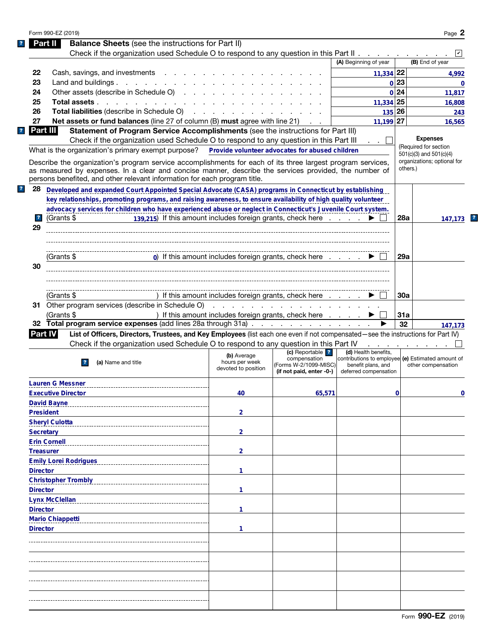| Form 990-EZ (2019)                                                                                                                                                                                                                                                                                                                                                                              |                                                      |                                                                   |                                                                                                  |            | Page $2$                                 |
|-------------------------------------------------------------------------------------------------------------------------------------------------------------------------------------------------------------------------------------------------------------------------------------------------------------------------------------------------------------------------------------------------|------------------------------------------------------|-------------------------------------------------------------------|--------------------------------------------------------------------------------------------------|------------|------------------------------------------|
| <b>Balance Sheets</b> (see the instructions for Part II)<br>Part II                                                                                                                                                                                                                                                                                                                             |                                                      |                                                                   |                                                                                                  |            |                                          |
| Check if the organization used Schedule O to respond to any question in this Part II                                                                                                                                                                                                                                                                                                            |                                                      |                                                                   |                                                                                                  |            |                                          |
|                                                                                                                                                                                                                                                                                                                                                                                                 |                                                      |                                                                   | (A) Beginning of year                                                                            |            | (B) End of year                          |
| 22<br>Cash, savings, and investments                                                                                                                                                                                                                                                                                                                                                            |                                                      |                                                                   | $11,334$ 22                                                                                      |            | 4,992                                    |
| 23<br>Land and buildings                                                                                                                                                                                                                                                                                                                                                                        |                                                      |                                                                   |                                                                                                  | 0 23       | $\mathbf{0}$                             |
| Other assets (describe in Schedule O)<br>24                                                                                                                                                                                                                                                                                                                                                     |                                                      |                                                                   |                                                                                                  | 0 24       | 11,817                                   |
| 25<br>Total assets                                                                                                                                                                                                                                                                                                                                                                              |                                                      |                                                                   | $11,334$ 25                                                                                      |            |                                          |
| 26                                                                                                                                                                                                                                                                                                                                                                                              |                                                      |                                                                   |                                                                                                  |            | 16,808                                   |
| <b>Total liabilities</b> (describe in Schedule O)                                                                                                                                                                                                                                                                                                                                               |                                                      |                                                                   | 135 26                                                                                           |            | 243                                      |
| 27<br>Net assets or fund balances (line 27 of column (B) must agree with line 21)                                                                                                                                                                                                                                                                                                               |                                                      |                                                                   | $11,199$ 27                                                                                      |            | 16,565                                   |
| Part III<br>Statement of Program Service Accomplishments (see the instructions for Part III)                                                                                                                                                                                                                                                                                                    |                                                      |                                                                   |                                                                                                  |            |                                          |
| Check if the organization used Schedule O to respond to any question in this Part III                                                                                                                                                                                                                                                                                                           |                                                      |                                                                   |                                                                                                  |            | <b>Expenses</b><br>(Required for section |
| What is the organization's primary exempt purpose?                                                                                                                                                                                                                                                                                                                                              |                                                      | Provide volunteer advocates for abused children                   |                                                                                                  |            | $501(c)(3)$ and $501(c)(4)$              |
| Describe the organization's program service accomplishments for each of its three largest program services,<br>as measured by expenses. In a clear and concise manner, describe the services provided, the number of<br>persons benefited, and other relevant information for each program title.                                                                                               |                                                      |                                                                   |                                                                                                  | others.)   | organizations; optional for              |
| 28<br>Developed and expanded Court Appointed Special Advocate (CASA) programs in Connecticut by establishing                                                                                                                                                                                                                                                                                    |                                                      |                                                                   |                                                                                                  |            |                                          |
| key relationships, promoting programs, and raising awareness, to ensure availability of high quality volunteer                                                                                                                                                                                                                                                                                  |                                                      |                                                                   |                                                                                                  |            |                                          |
| advocacy services for children who have experienced abuse or neglect in Connecticut's Juvenile Court system.                                                                                                                                                                                                                                                                                    |                                                      |                                                                   |                                                                                                  |            |                                          |
| (Grants \$<br>$\overline{\mathbf{r}}$                                                                                                                                                                                                                                                                                                                                                           |                                                      | 139,215) If this amount includes foreign grants, check here       |                                                                                                  | <b>28a</b> | 147,173                                  |
| 29                                                                                                                                                                                                                                                                                                                                                                                              |                                                      |                                                                   |                                                                                                  |            |                                          |
|                                                                                                                                                                                                                                                                                                                                                                                                 |                                                      |                                                                   |                                                                                                  |            |                                          |
|                                                                                                                                                                                                                                                                                                                                                                                                 |                                                      |                                                                   |                                                                                                  |            |                                          |
|                                                                                                                                                                                                                                                                                                                                                                                                 |                                                      | 0) If this amount includes foreign grants, check here             |                                                                                                  | 29a        |                                          |
| (Grants \$                                                                                                                                                                                                                                                                                                                                                                                      |                                                      |                                                                   |                                                                                                  |            |                                          |
| 30                                                                                                                                                                                                                                                                                                                                                                                              |                                                      |                                                                   |                                                                                                  |            |                                          |
|                                                                                                                                                                                                                                                                                                                                                                                                 |                                                      |                                                                   |                                                                                                  |            |                                          |
|                                                                                                                                                                                                                                                                                                                                                                                                 |                                                      |                                                                   |                                                                                                  |            |                                          |
| (Grants \$                                                                                                                                                                                                                                                                                                                                                                                      |                                                      | ) If this amount includes foreign grants, check here              |                                                                                                  | 30a        |                                          |
|                                                                                                                                                                                                                                                                                                                                                                                                 |                                                      |                                                                   |                                                                                                  |            |                                          |
| (Grants \$                                                                                                                                                                                                                                                                                                                                                                                      |                                                      | ) If this amount includes foreign grants, check here              |                                                                                                  | 31a        |                                          |
| 32 Total program service expenses (add lines 28a through 31a)                                                                                                                                                                                                                                                                                                                                   |                                                      |                                                                   |                                                                                                  |            |                                          |
|                                                                                                                                                                                                                                                                                                                                                                                                 |                                                      |                                                                   |                                                                                                  | 32         |                                          |
| List of Officers, Directors, Trustees, and Key Employees (list each one even if not compensated—see the instructions for Part IV)                                                                                                                                                                                                                                                               |                                                      |                                                                   |                                                                                                  |            |                                          |
| Check if the organization used Schedule O to respond to any question in this Part IV                                                                                                                                                                                                                                                                                                            |                                                      |                                                                   |                                                                                                  |            |                                          |
|                                                                                                                                                                                                                                                                                                                                                                                                 |                                                      | (c) Reportable ?                                                  | (d) Health benefits.                                                                             |            |                                          |
| (a) Name and title<br>$\mathbf{r}$                                                                                                                                                                                                                                                                                                                                                              | (b) Average<br>hours per week<br>devoted to position | compensation<br>(Forms W-2/1099-MISC)<br>(if not paid, enter -0-) | contributions to employee (e) Estimated amount of<br>benefit plans, and<br>deferred compensation |            | other compensation                       |
|                                                                                                                                                                                                                                                                                                                                                                                                 |                                                      |                                                                   |                                                                                                  |            |                                          |
|                                                                                                                                                                                                                                                                                                                                                                                                 | 40                                                   | 65,571                                                            |                                                                                                  | 0          |                                          |
|                                                                                                                                                                                                                                                                                                                                                                                                 |                                                      |                                                                   |                                                                                                  |            |                                          |
|                                                                                                                                                                                                                                                                                                                                                                                                 |                                                      |                                                                   |                                                                                                  |            |                                          |
|                                                                                                                                                                                                                                                                                                                                                                                                 | $\overline{2}$                                       |                                                                   |                                                                                                  |            |                                          |
|                                                                                                                                                                                                                                                                                                                                                                                                 |                                                      |                                                                   |                                                                                                  |            |                                          |
|                                                                                                                                                                                                                                                                                                                                                                                                 | $\overline{2}$                                       |                                                                   |                                                                                                  |            |                                          |
|                                                                                                                                                                                                                                                                                                                                                                                                 |                                                      |                                                                   |                                                                                                  |            |                                          |
|                                                                                                                                                                                                                                                                                                                                                                                                 | $\overline{2}$                                       |                                                                   |                                                                                                  |            |                                          |
|                                                                                                                                                                                                                                                                                                                                                                                                 |                                                      |                                                                   |                                                                                                  |            |                                          |
|                                                                                                                                                                                                                                                                                                                                                                                                 | 1                                                    |                                                                   |                                                                                                  |            |                                          |
|                                                                                                                                                                                                                                                                                                                                                                                                 |                                                      |                                                                   |                                                                                                  |            |                                          |
|                                                                                                                                                                                                                                                                                                                                                                                                 | 1                                                    |                                                                   |                                                                                                  |            |                                          |
|                                                                                                                                                                                                                                                                                                                                                                                                 |                                                      |                                                                   |                                                                                                  |            |                                          |
|                                                                                                                                                                                                                                                                                                                                                                                                 | 1                                                    |                                                                   |                                                                                                  |            |                                          |
|                                                                                                                                                                                                                                                                                                                                                                                                 |                                                      |                                                                   |                                                                                                  |            |                                          |
|                                                                                                                                                                                                                                                                                                                                                                                                 |                                                      |                                                                   |                                                                                                  |            |                                          |
|                                                                                                                                                                                                                                                                                                                                                                                                 | 1                                                    |                                                                   |                                                                                                  |            |                                          |
|                                                                                                                                                                                                                                                                                                                                                                                                 |                                                      |                                                                   |                                                                                                  |            | 147,173<br>$\mathbf 0$                   |
|                                                                                                                                                                                                                                                                                                                                                                                                 |                                                      |                                                                   |                                                                                                  |            |                                          |
|                                                                                                                                                                                                                                                                                                                                                                                                 |                                                      |                                                                   |                                                                                                  |            |                                          |
|                                                                                                                                                                                                                                                                                                                                                                                                 |                                                      |                                                                   |                                                                                                  |            |                                          |
|                                                                                                                                                                                                                                                                                                                                                                                                 |                                                      |                                                                   |                                                                                                  |            |                                          |
|                                                                                                                                                                                                                                                                                                                                                                                                 |                                                      |                                                                   |                                                                                                  |            |                                          |
| Part IV<br><b>Lauren G Messner</b><br><b>Executive Director</b><br><b>David Bayne</b><br><b>President</b><br><b>Sheryl Culotta</b><br><b>Secretary</b><br><b>Erin Cornell</b><br><b>Treasurer</b><br><b>Emily Lorei Rodrigues</b><br><b>Director</b><br><b>Christopher Trombly</b><br><b>Director</b><br><b>Lynx McClellan</b><br><b>Director</b><br><b>Mario Chiappetti</b><br><b>Director</b> |                                                      |                                                                   |                                                                                                  |            |                                          |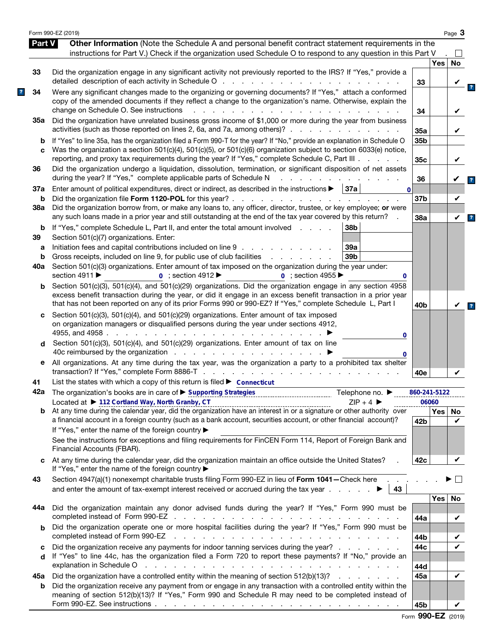|               | Form 990-EZ (2019)                                                                                                                                                                                                                                                                                                                                                                                                                 |                        |            | Page 3  |                         |
|---------------|------------------------------------------------------------------------------------------------------------------------------------------------------------------------------------------------------------------------------------------------------------------------------------------------------------------------------------------------------------------------------------------------------------------------------------|------------------------|------------|---------|-------------------------|
| <b>Part V</b> | Other Information (Note the Schedule A and personal benefit contract statement requirements in the                                                                                                                                                                                                                                                                                                                                 |                        |            |         |                         |
|               | instructions for Part V.) Check if the organization used Schedule O to respond to any question in this Part V                                                                                                                                                                                                                                                                                                                      |                        | <b>Yes</b> | No      |                         |
| 33            | Did the organization engage in any significant activity not previously reported to the IRS? If "Yes," provide a                                                                                                                                                                                                                                                                                                                    | 33                     |            |         |                         |
| 34            | Were any significant changes made to the organizing or governing documents? If "Yes," attach a conformed<br>copy of the amended documents if they reflect a change to the organization's name. Otherwise, explain the<br>change on Schedule O. See instructions<br>and the state of the state of the                                                                                                                               | 34                     |            |         |                         |
| 35а           | Did the organization have unrelated business gross income of \$1,000 or more during the year from business<br>activities (such as those reported on lines 2, 6a, and 7a, among others)?                                                                                                                                                                                                                                            | 35a                    |            |         |                         |
| b<br>C        | If "Yes" to line 35a, has the organization filed a Form 990-T for the year? If "No," provide an explanation in Schedule O<br>Was the organization a section 501(c)(4), 501(c)(5), or 501(c)(6) organization subject to section 6033(e) notice,<br>reporting, and proxy tax requirements during the year? If "Yes," complete Schedule C, Part III                                                                                   | 35 <sub>b</sub><br>35c |            | V       |                         |
| 36            | Did the organization undergo a liquidation, dissolution, termination, or significant disposition of net assets<br>during the year? If "Yes," complete applicable parts of Schedule N                                                                                                                                                                                                                                               | 36                     |            |         | $\overline{\mathbf{r}}$ |
| 37a<br>b      | Enter amount of political expenditures, direct or indirect, as described in the instructions $\blacktriangleright$   37a  <br>$\mathbf{0}$<br>Did the organization file Form 1120-POL for this year?.<br>the contract of the contract of the contract of the contract of the contract of the contract of the contract of                                                                                                           | 37b                    |            | V       |                         |
| 38a           | Did the organization borrow from, or make any loans to, any officer, director, trustee, or key employee; or were<br>any such loans made in a prior year and still outstanding at the end of the tax year covered by this return?                                                                                                                                                                                                   | 38a                    |            | V       | $\overline{\mathbf{r}}$ |
| b<br>39       | If "Yes," complete Schedule L, Part II, and enter the total amount involved<br>38b<br>Section 501(c)(7) organizations. Enter:                                                                                                                                                                                                                                                                                                      |                        |            |         |                         |
| а<br>b<br>40a | Initiation fees and capital contributions included on line 9<br>39a<br>Gross receipts, included on line 9, for public use of club facilities<br>39 <sub>b</sub><br>and the company of the company of<br>Section 501(c)(3) organizations. Enter amount of tax imposed on the organization during the year under:                                                                                                                    |                        |            |         |                         |
| b             | section 4911 ▶<br>$\overline{0}$ ; section 4912<br>$\overline{0}$ : section 4955<br>0<br>Section 501(c)(3), 501(c)(4), and 501(c)(29) organizations. Did the organization engage in any section 4958                                                                                                                                                                                                                               |                        |            |         |                         |
|               | excess benefit transaction during the year, or did it engage in an excess benefit transaction in a prior year<br>that has not been reported on any of its prior Forms 990 or 990-EZ? If "Yes," complete Schedule L, Part I                                                                                                                                                                                                         | 40 <sub>b</sub>        |            |         | $\overline{\mathbf{r}}$ |
| c             | Section 501(c)(3), 501(c)(4), and 501(c)(29) organizations. Enter amount of tax imposed<br>on organization managers or disqualified persons during the year under sections 4912,<br>4955, and 4958.<br>and a state of the state of the<br>0                                                                                                                                                                                        |                        |            |         |                         |
| d             | Section 501(c)(3), 501(c)(4), and 501(c)(29) organizations. Enter amount of tax on line<br>40c reimbursed by the organization<br>0                                                                                                                                                                                                                                                                                                 |                        |            |         |                         |
| е             | All organizations. At any time during the tax year, was the organization a party to a prohibited tax shelter                                                                                                                                                                                                                                                                                                                       | 40e                    |            |         |                         |
| 41            | List the states with which a copy of this return is filed $\triangleright$ Connecticut                                                                                                                                                                                                                                                                                                                                             |                        |            |         |                         |
|               | 42a The organization's books are in care of ► Supporting Strategies<br>Telephone no. $\blacktriangleright$                                                                                                                                                                                                                                                                                                                         | 860-241-5122           | 06060      |         |                         |
| b             | Located at ▶ 112 Cortland Way, North Granby, CT<br>$ZIP + 4$<br>Located at $\triangleright$ 112 Cortland Way, North Granby, CT<br>At any time during the calendar year, did the organization have an interest in or a signature or other authority over<br>a financial account in a foreign country (such as a bank account, securities account, or other financial account)?<br>If "Yes," enter the name of the foreign country ▶ | 42b                    | Yes        | No<br>V |                         |
|               | See the instructions for exceptions and filing requirements for FinCEN Form 114, Report of Foreign Bank and<br>Financial Accounts (FBAR).                                                                                                                                                                                                                                                                                          |                        |            |         |                         |
| C             | At any time during the calendar year, did the organization maintain an office outside the United States?<br>If "Yes," enter the name of the foreign country ▶                                                                                                                                                                                                                                                                      | 42c                    |            | V       |                         |
| 43            | Section 4947(a)(1) nonexempt charitable trusts filing Form 990-EZ in lieu of Form 1041-Check here<br>and enter the amount of tax-exempt interest received or accrued during the tax year $\ldots$ .<br>43                                                                                                                                                                                                                          |                        |            |         |                         |
| 44а           | Did the organization maintain any donor advised funds during the year? If "Yes," Form 990 must be                                                                                                                                                                                                                                                                                                                                  | 44a                    | Yes        | No<br>V |                         |
| b             | Did the organization operate one or more hospital facilities during the year? If "Yes," Form 990 must be<br>completed instead of Form 990-EZ<br>and a series of the contract of the contract of the contract of the contract of                                                                                                                                                                                                    | 44b                    |            |         |                         |
| c<br>d        | Did the organization receive any payments for indoor tanning services during the year?<br>If "Yes" to line 44c, has the organization filed a Form 720 to report these payments? If "No," provide an<br>explanation in Schedule O<br>and the contract of the contract of the contract of the contract of the contract of                                                                                                            | 44c<br>44d             |            |         |                         |
| 45а           | Did the organization have a controlled entity within the meaning of section 512(b)(13)?                                                                                                                                                                                                                                                                                                                                            | 45a                    |            | V       |                         |
| b             | Did the organization receive any payment from or engage in any transaction with a controlled entity within the<br>meaning of section 512(b)(13)? If "Yes," Form 990 and Schedule R may need to be completed instead of                                                                                                                                                                                                             |                        |            |         |                         |
|               |                                                                                                                                                                                                                                                                                                                                                                                                                                    | 45b                    |            |         |                         |

|  | Form 990-EZ (2019) |  |
|--|--------------------|--|
|--|--------------------|--|